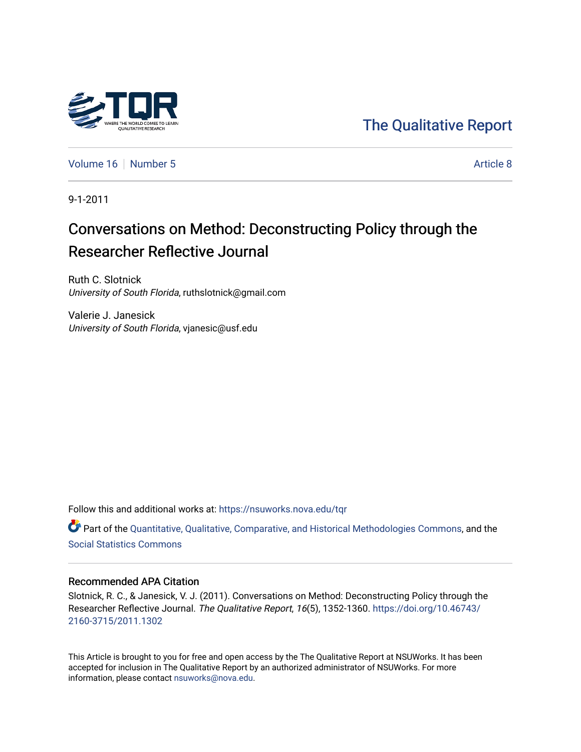

[The Qualitative Report](https://nsuworks.nova.edu/tqr) 

[Volume 16](https://nsuworks.nova.edu/tqr/vol16) [Number 5](https://nsuworks.nova.edu/tqr/vol16/iss5) Article 8

9-1-2011

## Conversations on Method: Deconstructing Policy through the Researcher Reflective Journal

Ruth C. Slotnick University of South Florida, ruthslotnick@gmail.com

Valerie J. Janesick University of South Florida, vjanesic@usf.edu

Follow this and additional works at: [https://nsuworks.nova.edu/tqr](https://nsuworks.nova.edu/tqr?utm_source=nsuworks.nova.edu%2Ftqr%2Fvol16%2Fiss5%2F8&utm_medium=PDF&utm_campaign=PDFCoverPages) 

Part of the [Quantitative, Qualitative, Comparative, and Historical Methodologies Commons,](http://network.bepress.com/hgg/discipline/423?utm_source=nsuworks.nova.edu%2Ftqr%2Fvol16%2Fiss5%2F8&utm_medium=PDF&utm_campaign=PDFCoverPages) and the [Social Statistics Commons](http://network.bepress.com/hgg/discipline/1275?utm_source=nsuworks.nova.edu%2Ftqr%2Fvol16%2Fiss5%2F8&utm_medium=PDF&utm_campaign=PDFCoverPages) 

#### Recommended APA Citation

Slotnick, R. C., & Janesick, V. J. (2011). Conversations on Method: Deconstructing Policy through the Researcher Reflective Journal. The Qualitative Report, 16(5), 1352-1360. [https://doi.org/10.46743/](https://doi.org/10.46743/2160-3715/2011.1302) [2160-3715/2011.1302](https://doi.org/10.46743/2160-3715/2011.1302)

This Article is brought to you for free and open access by the The Qualitative Report at NSUWorks. It has been accepted for inclusion in The Qualitative Report by an authorized administrator of NSUWorks. For more information, please contact [nsuworks@nova.edu.](mailto:nsuworks@nova.edu)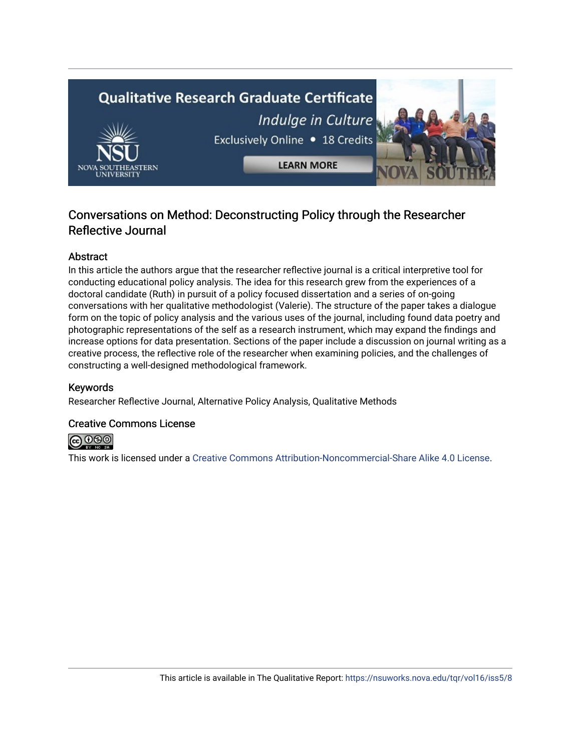# **Qualitative Research Graduate Certificate** Indulge in Culture Exclusively Online . 18 Credits **LEARN MORE**

### Conversations on Method: Deconstructing Policy through the Researcher Reflective Journal

#### Abstract

In this article the authors argue that the researcher reflective journal is a critical interpretive tool for conducting educational policy analysis. The idea for this research grew from the experiences of a doctoral candidate (Ruth) in pursuit of a policy focused dissertation and a series of on-going conversations with her qualitative methodologist (Valerie). The structure of the paper takes a dialogue form on the topic of policy analysis and the various uses of the journal, including found data poetry and photographic representations of the self as a research instrument, which may expand the findings and increase options for data presentation. Sections of the paper include a discussion on journal writing as a creative process, the reflective role of the researcher when examining policies, and the challenges of constructing a well-designed methodological framework.

#### Keywords

Researcher Reflective Journal, Alternative Policy Analysis, Qualitative Methods

#### Creative Commons License



This work is licensed under a [Creative Commons Attribution-Noncommercial-Share Alike 4.0 License](https://creativecommons.org/licenses/by-nc-sa/4.0/).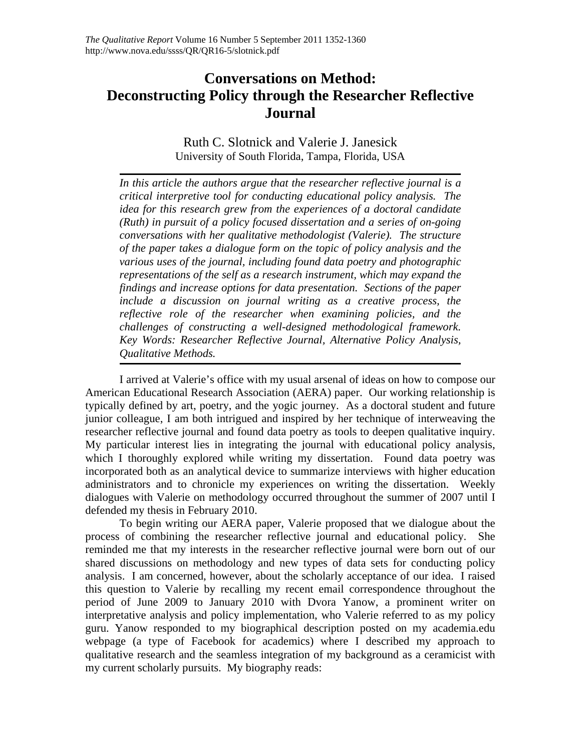## **Conversations on Method: Deconstructing Policy through the Researcher Reflective Journal**

Ruth C. Slotnick and Valerie J. Janesick University of South Florida, Tampa, Florida, USA

*In this article the authors argue that the researcher reflective journal is a critical interpretive tool for conducting educational policy analysis. The idea for this research grew from the experiences of a doctoral candidate (Ruth) in pursuit of a policy focused dissertation and a series of on-going conversations with her qualitative methodologist (Valerie). The structure of the paper takes a dialogue form on the topic of policy analysis and the various uses of the journal, including found data poetry and photographic representations of the self as a research instrument, which may expand the findings and increase options for data presentation. Sections of the paper include a discussion on journal writing as a creative process, the reflective role of the researcher when examining policies, and the challenges of constructing a well-designed methodological framework. Key Words: Researcher Reflective Journal, Alternative Policy Analysis, Qualitative Methods.* 

I arrived at Valerie's office with my usual arsenal of ideas on how to compose our American Educational Research Association (AERA) paper. Our working relationship is typically defined by art, poetry, and the yogic journey. As a doctoral student and future junior colleague, I am both intrigued and inspired by her technique of interweaving the researcher reflective journal and found data poetry as tools to deepen qualitative inquiry. My particular interest lies in integrating the journal with educational policy analysis, which I thoroughly explored while writing my dissertation. Found data poetry was incorporated both as an analytical device to summarize interviews with higher education administrators and to chronicle my experiences on writing the dissertation. Weekly dialogues with Valerie on methodology occurred throughout the summer of 2007 until I defended my thesis in February 2010.

To begin writing our AERA paper, Valerie proposed that we dialogue about the process of combining the researcher reflective journal and educational policy. She reminded me that my interests in the researcher reflective journal were born out of our shared discussions on methodology and new types of data sets for conducting policy analysis. I am concerned, however, about the scholarly acceptance of our idea. I raised this question to Valerie by recalling my recent email correspondence throughout the period of June 2009 to January 2010 with Dvora Yanow, a prominent writer on interpretative analysis and policy implementation, who Valerie referred to as my policy guru. Yanow responded to my biographical description posted on my academia.edu webpage (a type of Facebook for academics) where I described my approach to qualitative research and the seamless integration of my background as a ceramicist with my current scholarly pursuits. My biography reads: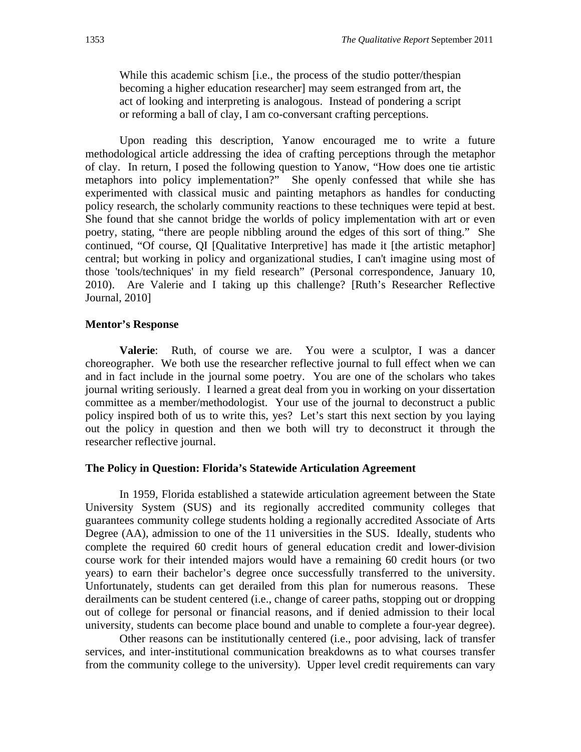While this academic schism [i.e., the process of the studio potter/thespian becoming a higher education researcher] may seem estranged from art, the act of looking and interpreting is analogous. Instead of pondering a script or reforming a ball of clay, I am co-conversant crafting perceptions.

Upon reading this description, Yanow encouraged me to write a future methodological article addressing the idea of crafting perceptions through the metaphor of clay. In return, I posed the following question to Yanow, "How does one tie artistic metaphors into policy implementation?" She openly confessed that while she has experimented with classical music and painting metaphors as handles for conducting policy research, the scholarly community reactions to these techniques were tepid at best. She found that she cannot bridge the worlds of policy implementation with art or even poetry, stating, "there are people nibbling around the edges of this sort of thing." She continued, "Of course, QI [Qualitative Interpretive] has made it [the artistic metaphor] central; but working in policy and organizational studies, I can't imagine using most of those 'tools/techniques' in my field research" (Personal correspondence, January 10, 2010). Are Valerie and I taking up this challenge? [Ruth's Researcher Reflective Journal, 2010]

#### **Mentor's Response**

**Valerie**: Ruth, of course we are. You were a sculptor, I was a dancer choreographer. We both use the researcher reflective journal to full effect when we can and in fact include in the journal some poetry. You are one of the scholars who takes journal writing seriously. I learned a great deal from you in working on your dissertation committee as a member/methodologist. Your use of the journal to deconstruct a public policy inspired both of us to write this, yes? Let's start this next section by you laying out the policy in question and then we both will try to deconstruct it through the researcher reflective journal.

#### **The Policy in Question: Florida's Statewide Articulation Agreement**

In 1959, Florida established a statewide articulation agreement between the State University System (SUS) and its regionally accredited community colleges that guarantees community college students holding a regionally accredited Associate of Arts Degree (AA), admission to one of the 11 universities in the SUS. Ideally, students who complete the required 60 credit hours of general education credit and lower-division course work for their intended majors would have a remaining 60 credit hours (or two years) to earn their bachelor's degree once successfully transferred to the university. Unfortunately, students can get derailed from this plan for numerous reasons. These derailments can be student centered (i.e., change of career paths, stopping out or dropping out of college for personal or financial reasons, and if denied admission to their local university, students can become place bound and unable to complete a four-year degree).

 Other reasons can be institutionally centered (i.e., poor advising, lack of transfer services, and inter-institutional communication breakdowns as to what courses transfer from the community college to the university). Upper level credit requirements can vary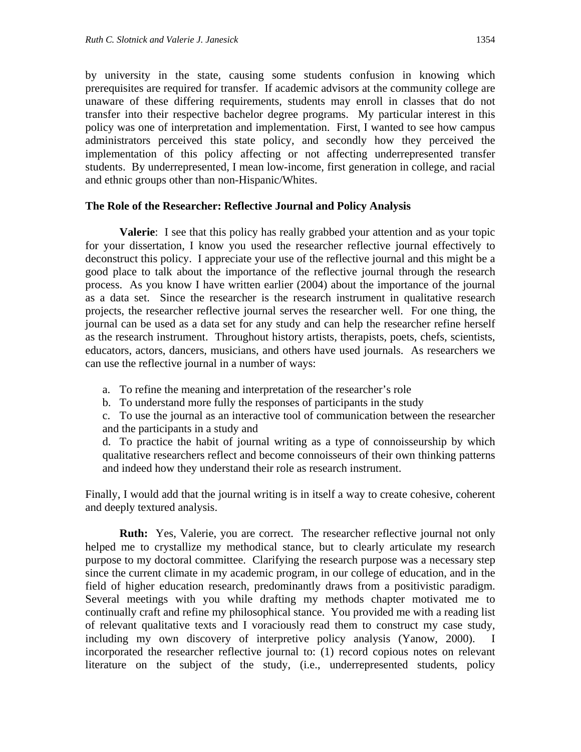by university in the state, causing some students confusion in knowing which prerequisites are required for transfer. If academic advisors at the community college are unaware of these differing requirements, students may enroll in classes that do not transfer into their respective bachelor degree programs. My particular interest in this policy was one of interpretation and implementation. First, I wanted to see how campus administrators perceived this state policy, and secondly how they perceived the implementation of this policy affecting or not affecting underrepresented transfer students. By underrepresented, I mean low-income, first generation in college, and racial and ethnic groups other than non-Hispanic/Whites.

#### **The Role of the Researcher: Reflective Journal and Policy Analysis**

**Valerie**: I see that this policy has really grabbed your attention and as your topic for your dissertation, I know you used the researcher reflective journal effectively to deconstruct this policy. I appreciate your use of the reflective journal and this might be a good place to talk about the importance of the reflective journal through the research process. As you know I have written earlier (2004) about the importance of the journal as a data set. Since the researcher is the research instrument in qualitative research projects, the researcher reflective journal serves the researcher well. For one thing, the journal can be used as a data set for any study and can help the researcher refine herself as the research instrument. Throughout history artists, therapists, poets, chefs, scientists, educators, actors, dancers, musicians, and others have used journals. As researchers we can use the reflective journal in a number of ways:

a. To refine the meaning and interpretation of the researcher's role

b. To understand more fully the responses of participants in the study

c. To use the journal as an interactive tool of communication between the researcher and the participants in a study and

d. To practice the habit of journal writing as a type of connoisseurship by which qualitative researchers reflect and become connoisseurs of their own thinking patterns and indeed how they understand their role as research instrument.

Finally, I would add that the journal writing is in itself a way to create cohesive, coherent and deeply textured analysis.

**Ruth:** Yes, Valerie, you are correct. The researcher reflective journal not only helped me to crystallize my methodical stance, but to clearly articulate my research purpose to my doctoral committee. Clarifying the research purpose was a necessary step since the current climate in my academic program, in our college of education, and in the field of higher education research, predominantly draws from a positivistic paradigm. Several meetings with you while drafting my methods chapter motivated me to continually craft and refine my philosophical stance. You provided me with a reading list of relevant qualitative texts and I voraciously read them to construct my case study, including my own discovery of interpretive policy analysis (Yanow, 2000). I incorporated the researcher reflective journal to: (1) record copious notes on relevant literature on the subject of the study, (i.e., underrepresented students, policy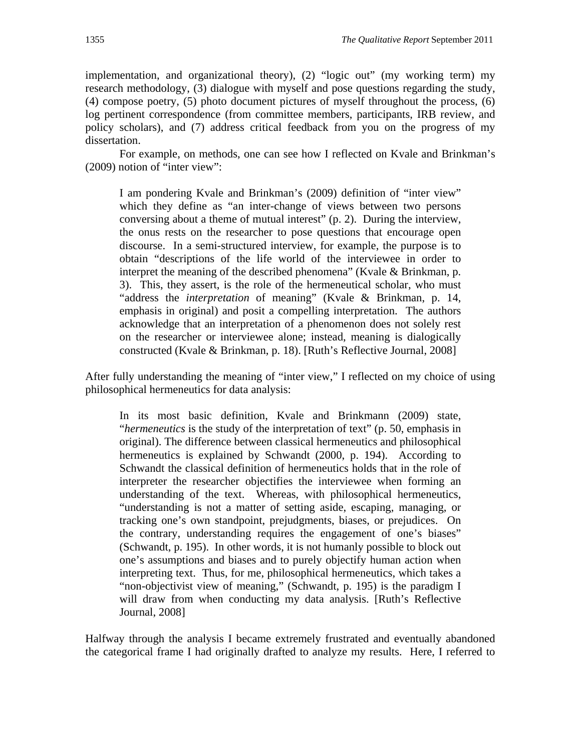implementation, and organizational theory), (2) "logic out" (my working term) my research methodology, (3) dialogue with myself and pose questions regarding the study, (4) compose poetry, (5) photo document pictures of myself throughout the process, (6) log pertinent correspondence (from committee members, participants, IRB review, and policy scholars), and (7) address critical feedback from you on the progress of my dissertation.

For example, on methods, one can see how I reflected on Kvale and Brinkman's (2009) notion of "inter view":

I am pondering Kvale and Brinkman's (2009) definition of "inter view" which they define as "an inter-change of views between two persons conversing about a theme of mutual interest" (p. 2). During the interview, the onus rests on the researcher to pose questions that encourage open discourse. In a semi-structured interview, for example, the purpose is to obtain "descriptions of the life world of the interviewee in order to interpret the meaning of the described phenomena" (Kvale & Brinkman, p. 3). This, they assert, is the role of the hermeneutical scholar, who must "address the *interpretation* of meaning" (Kvale & Brinkman, p. 14, emphasis in original) and posit a compelling interpretation. The authors acknowledge that an interpretation of a phenomenon does not solely rest on the researcher or interviewee alone; instead, meaning is dialogically constructed (Kvale & Brinkman, p. 18). [Ruth's Reflective Journal, 2008]

After fully understanding the meaning of "inter view," I reflected on my choice of using philosophical hermeneutics for data analysis:

In its most basic definition, Kvale and Brinkmann (2009) state, "*hermeneutics* is the study of the interpretation of text" (p. 50, emphasis in original). The difference between classical hermeneutics and philosophical hermeneutics is explained by Schwandt (2000, p. 194). According to Schwandt the classical definition of hermeneutics holds that in the role of interpreter the researcher objectifies the interviewee when forming an understanding of the text. Whereas, with philosophical hermeneutics, "understanding is not a matter of setting aside, escaping, managing, or tracking one's own standpoint, prejudgments, biases, or prejudices. On the contrary, understanding requires the engagement of one's biases" (Schwandt, p. 195). In other words, it is not humanly possible to block out one's assumptions and biases and to purely objectify human action when interpreting text. Thus, for me, philosophical hermeneutics, which takes a "non-objectivist view of meaning," (Schwandt, p. 195) is the paradigm I will draw from when conducting my data analysis. [Ruth's Reflective Journal, 2008]

Halfway through the analysis I became extremely frustrated and eventually abandoned the categorical frame I had originally drafted to analyze my results. Here, I referred to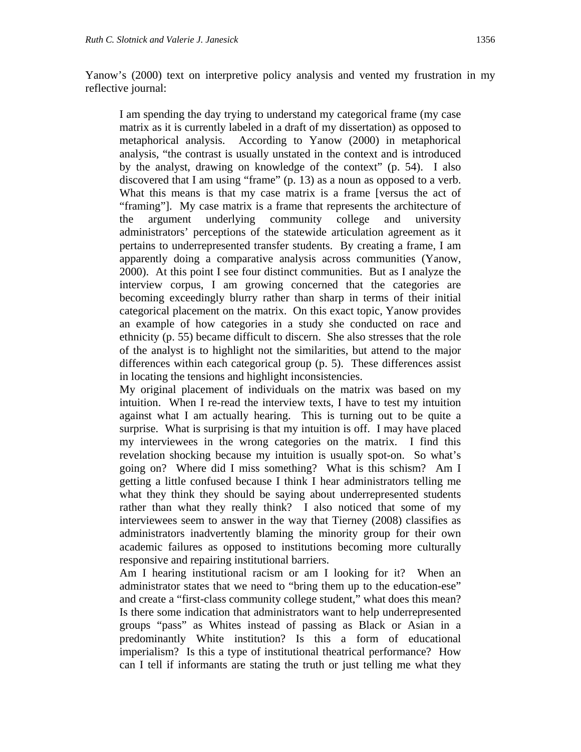Yanow's (2000) text on interpretive policy analysis and vented my frustration in my reflective journal:

I am spending the day trying to understand my categorical frame (my case matrix as it is currently labeled in a draft of my dissertation) as opposed to metaphorical analysis. According to Yanow (2000) in metaphorical analysis, "the contrast is usually unstated in the context and is introduced by the analyst, drawing on knowledge of the context" (p. 54). I also discovered that I am using "frame" (p. 13) as a noun as opposed to a verb. What this means is that my case matrix is a frame [versus the act of "framing"]. My case matrix is a frame that represents the architecture of the argument underlying community college and university administrators' perceptions of the statewide articulation agreement as it pertains to underrepresented transfer students. By creating a frame, I am apparently doing a comparative analysis across communities (Yanow, 2000). At this point I see four distinct communities. But as I analyze the interview corpus, I am growing concerned that the categories are becoming exceedingly blurry rather than sharp in terms of their initial categorical placement on the matrix. On this exact topic, Yanow provides an example of how categories in a study she conducted on race and ethnicity (p. 55) became difficult to discern. She also stresses that the role of the analyst is to highlight not the similarities, but attend to the major differences within each categorical group (p. 5). These differences assist in locating the tensions and highlight inconsistencies.

My original placement of individuals on the matrix was based on my intuition. When I re-read the interview texts, I have to test my intuition against what I am actually hearing. This is turning out to be quite a surprise. What is surprising is that my intuition is off. I may have placed my interviewees in the wrong categories on the matrix. I find this revelation shocking because my intuition is usually spot-on. So what's going on? Where did I miss something? What is this schism? Am I getting a little confused because I think I hear administrators telling me what they think they should be saying about underrepresented students rather than what they really think? I also noticed that some of my interviewees seem to answer in the way that Tierney (2008) classifies as administrators inadvertently blaming the minority group for their own academic failures as opposed to institutions becoming more culturally responsive and repairing institutional barriers.

Am I hearing institutional racism or am I looking for it? When an administrator states that we need to "bring them up to the education-ese" and create a "first-class community college student," what does this mean? Is there some indication that administrators want to help underrepresented groups "pass" as Whites instead of passing as Black or Asian in a predominantly White institution? Is this a form of educational imperialism? Is this a type of institutional theatrical performance? How can I tell if informants are stating the truth or just telling me what they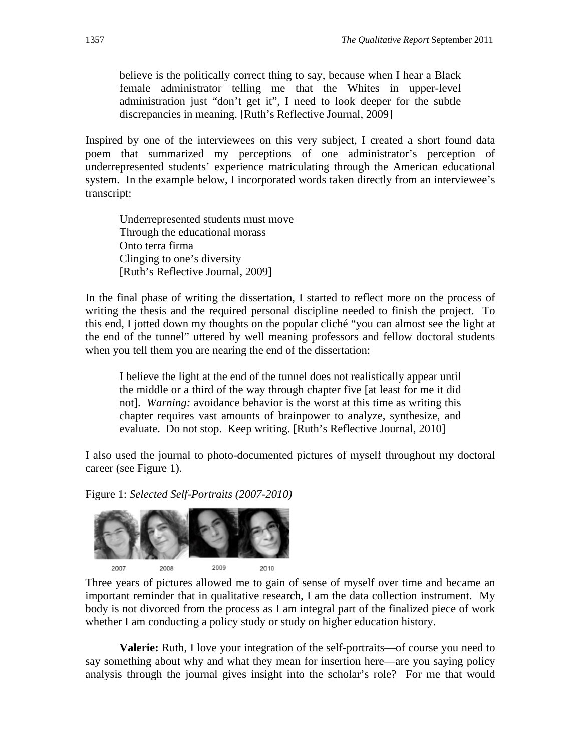believe is the politically correct thing to say, because when I hear a Black female administrator telling me that the Whites in upper-level administration just "don't get it", I need to look deeper for the subtle discrepancies in meaning. [Ruth's Reflective Journal, 2009]

Inspired by one of the interviewees on this very subject, I created a short found data poem that summarized my perceptions of one administrator's perception of underrepresented students' experience matriculating through the American educational system. In the example below, I incorporated words taken directly from an interviewee's transcript:

Underrepresented students must move Through the educational morass Onto terra firma Clinging to one's diversity [Ruth's Reflective Journal, 2009]

In the final phase of writing the dissertation, I started to reflect more on the process of writing the thesis and the required personal discipline needed to finish the project. To this end, I jotted down my thoughts on the popular cliché "you can almost see the light at the end of the tunnel" uttered by well meaning professors and fellow doctoral students when you tell them you are nearing the end of the dissertation:

I believe the light at the end of the tunnel does not realistically appear until the middle or a third of the way through chapter five [at least for me it did not]. *Warning:* avoidance behavior is the worst at this time as writing this chapter requires vast amounts of brainpower to analyze, synthesize, and evaluate. Do not stop. Keep writing. [Ruth's Reflective Journal, 2010]

I also used the journal to photo-documented pictures of myself throughout my doctoral career (see Figure 1).

Figure 1: *Selected Self-Portraits (2007-2010)*



Three years of pictures allowed me to gain of sense of myself over time and became an important reminder that in qualitative research, I am the data collection instrument. My body is not divorced from the process as I am integral part of the finalized piece of work whether I am conducting a policy study or study on higher education history.

**Valerie:** Ruth, I love your integration of the self-portraits—of course you need to say something about why and what they mean for insertion here—are you saying policy analysis through the journal gives insight into the scholar's role? For me that would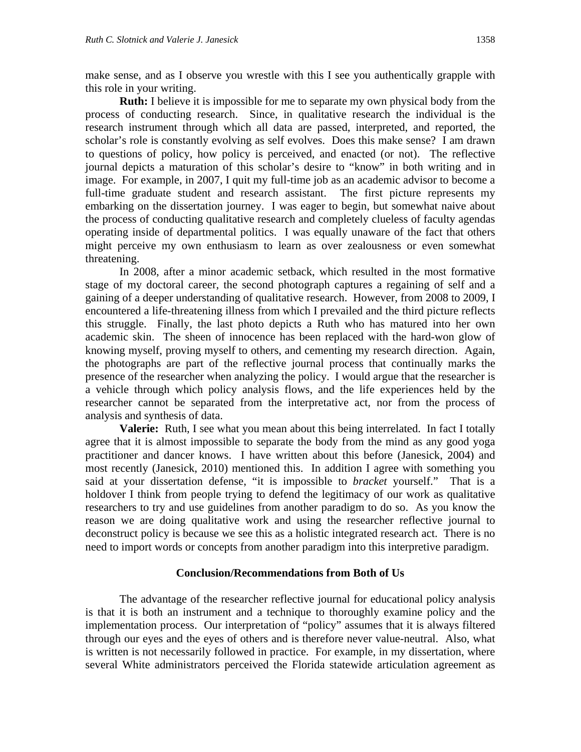make sense, and as I observe you wrestle with this I see you authentically grapple with this role in your writing.

**Ruth:** I believe it is impossible for me to separate my own physical body from the process of conducting research. Since, in qualitative research the individual is the research instrument through which all data are passed, interpreted, and reported, the scholar's role is constantly evolving as self evolves. Does this make sense? I am drawn to questions of policy, how policy is perceived, and enacted (or not). The reflective journal depicts a maturation of this scholar's desire to "know" in both writing and in image. For example, in 2007, I quit my full-time job as an academic advisor to become a full-time graduate student and research assistant. The first picture represents my embarking on the dissertation journey. I was eager to begin, but somewhat naive about the process of conducting qualitative research and completely clueless of faculty agendas operating inside of departmental politics. I was equally unaware of the fact that others might perceive my own enthusiasm to learn as over zealousness or even somewhat threatening.

In 2008, after a minor academic setback, which resulted in the most formative stage of my doctoral career, the second photograph captures a regaining of self and a gaining of a deeper understanding of qualitative research. However, from 2008 to 2009, I encountered a life-threatening illness from which I prevailed and the third picture reflects this struggle. Finally, the last photo depicts a Ruth who has matured into her own academic skin. The sheen of innocence has been replaced with the hard-won glow of knowing myself, proving myself to others, and cementing my research direction. Again, the photographs are part of the reflective journal process that continually marks the presence of the researcher when analyzing the policy. I would argue that the researcher is a vehicle through which policy analysis flows, and the life experiences held by the researcher cannot be separated from the interpretative act, nor from the process of analysis and synthesis of data.

**Valerie:** Ruth, I see what you mean about this being interrelated. In fact I totally agree that it is almost impossible to separate the body from the mind as any good yoga practitioner and dancer knows. I have written about this before (Janesick, 2004) and most recently (Janesick, 2010) mentioned this. In addition I agree with something you said at your dissertation defense, "it is impossible to *bracket* yourself." That is a holdover I think from people trying to defend the legitimacy of our work as qualitative researchers to try and use guidelines from another paradigm to do so. As you know the reason we are doing qualitative work and using the researcher reflective journal to deconstruct policy is because we see this as a holistic integrated research act. There is no need to import words or concepts from another paradigm into this interpretive paradigm.

#### **Conclusion/Recommendations from Both of Us**

The advantage of the researcher reflective journal for educational policy analysis is that it is both an instrument and a technique to thoroughly examine policy and the implementation process. Our interpretation of "policy" assumes that it is always filtered through our eyes and the eyes of others and is therefore never value-neutral. Also, what is written is not necessarily followed in practice. For example, in my dissertation, where several White administrators perceived the Florida statewide articulation agreement as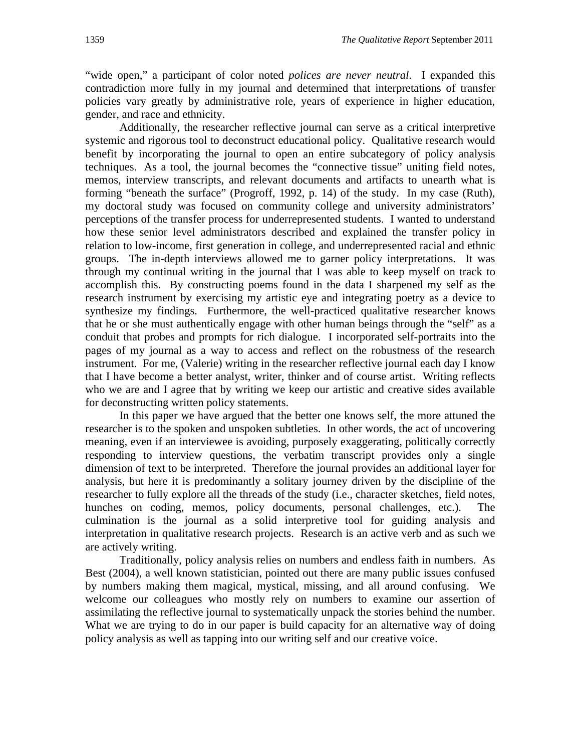"wide open," a participant of color noted *polices are never neutral*. I expanded this contradiction more fully in my journal and determined that interpretations of transfer policies vary greatly by administrative role, years of experience in higher education, gender, and race and ethnicity.

Additionally, the researcher reflective journal can serve as a critical interpretive systemic and rigorous tool to deconstruct educational policy. Qualitative research would benefit by incorporating the journal to open an entire subcategory of policy analysis techniques. As a tool, the journal becomes the "connective tissue" uniting field notes, memos, interview transcripts, and relevant documents and artifacts to unearth what is forming "beneath the surface" (Progroff, 1992, p. 14) of the study. In my case (Ruth), my doctoral study was focused on community college and university administrators' perceptions of the transfer process for underrepresented students. I wanted to understand how these senior level administrators described and explained the transfer policy in relation to low-income, first generation in college, and underrepresented racial and ethnic groups. The in-depth interviews allowed me to garner policy interpretations. It was through my continual writing in the journal that I was able to keep myself on track to accomplish this. By constructing poems found in the data I sharpened my self as the research instrument by exercising my artistic eye and integrating poetry as a device to synthesize my findings. Furthermore, the well-practiced qualitative researcher knows that he or she must authentically engage with other human beings through the "self" as a conduit that probes and prompts for rich dialogue. I incorporated self-portraits into the pages of my journal as a way to access and reflect on the robustness of the research instrument. For me, (Valerie) writing in the researcher reflective journal each day I know that I have become a better analyst, writer, thinker and of course artist. Writing reflects who we are and I agree that by writing we keep our artistic and creative sides available for deconstructing written policy statements.

In this paper we have argued that the better one knows self, the more attuned the researcher is to the spoken and unspoken subtleties. In other words, the act of uncovering meaning, even if an interviewee is avoiding, purposely exaggerating, politically correctly responding to interview questions, the verbatim transcript provides only a single dimension of text to be interpreted. Therefore the journal provides an additional layer for analysis, but here it is predominantly a solitary journey driven by the discipline of the researcher to fully explore all the threads of the study (i.e., character sketches, field notes, hunches on coding, memos, policy documents, personal challenges, etc.). The culmination is the journal as a solid interpretive tool for guiding analysis and interpretation in qualitative research projects. Research is an active verb and as such we are actively writing.

Traditionally, policy analysis relies on numbers and endless faith in numbers. As Best (2004), a well known statistician, pointed out there are many public issues confused by numbers making them magical, mystical, missing, and all around confusing. We welcome our colleagues who mostly rely on numbers to examine our assertion of assimilating the reflective journal to systematically unpack the stories behind the number. What we are trying to do in our paper is build capacity for an alternative way of doing policy analysis as well as tapping into our writing self and our creative voice.